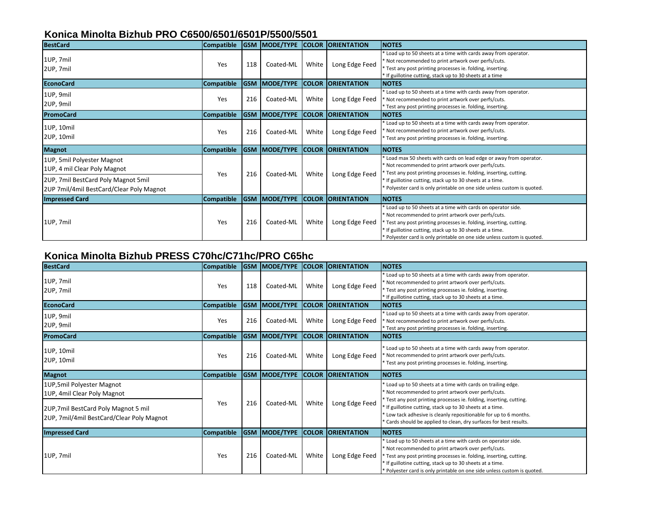### **Konica Minolta Bizhub PRO C6500/6501/6501P/5500/5501**

| <b>BestCard</b>                                                                                                                               | <b>Compatible</b> | <b>GSM</b> | MODE/TYPE        |              | <b>COLOR ORIENTATION</b> | <b>NOTES</b>                                                                                                                                                                                                                                                                                                                                 |
|-----------------------------------------------------------------------------------------------------------------------------------------------|-------------------|------------|------------------|--------------|--------------------------|----------------------------------------------------------------------------------------------------------------------------------------------------------------------------------------------------------------------------------------------------------------------------------------------------------------------------------------------|
| 1UP, 7mil<br>2UP, 7mil                                                                                                                        | Yes               | 118        | Coated-ML        | White        | Long Edge Feed           | Load up to 50 sheets at a time with cards away from operator.<br>* Not recommended to print artwork over perfs/cuts.<br>* Test any post printing processes ie. folding, inserting.<br>If guillotine cutting, stack up to 30 sheets at a time                                                                                                 |
| <b>EconoCard</b>                                                                                                                              | Compatible        | <b>GSM</b> | <b>MODE/TYPE</b> | <b>COLOR</b> | <b>ORIENTATION</b>       | <b>NOTES</b>                                                                                                                                                                                                                                                                                                                                 |
| 1UP, 9mil<br>2UP, 9mil                                                                                                                        | Yes               | 216        | Coated-ML        | White        | Long Edge Feed           | Load up to 50 sheets at a time with cards away from operator.<br>* Not recommended to print artwork over perfs/cuts.<br>* Test any post printing processes ie. folding, inserting.                                                                                                                                                           |
| <b>PromoCard</b>                                                                                                                              | <b>Compatible</b> | <b>GSM</b> | <b>MODE/TYPE</b> |              | <b>COLOR ORIENTATION</b> | <b>NOTES</b>                                                                                                                                                                                                                                                                                                                                 |
| 1UP, 10mil<br>2UP, 10mil                                                                                                                      | Yes               | 216        | Coated-ML        | White        | Long Edge Feed           | Load up to 50 sheets at a time with cards away from operator.<br>* Not recommended to print artwork over perfs/cuts.<br>* Test any post printing processes ie. folding, inserting.                                                                                                                                                           |
| <b>Magnot</b>                                                                                                                                 | <b>Compatible</b> | <b>GSM</b> | <b>MODE/TYPE</b> |              | <b>COLOR ORIENTATION</b> | <b>NOTES</b>                                                                                                                                                                                                                                                                                                                                 |
| 1UP, 5mil Polyester Magnot<br>1UP, 4 mil Clear Poly Magnot<br>2UP, 7mil BestCard Poly Magnot 5mil<br>2UP 7mil/4mil BestCard/Clear Poly Magnot | Yes               | 216        | Coated-ML        | White        | Long Edge Feed           | Load max 50 sheets with cards on lead edge or away from operator.<br>* Not recommended to print artwork over perfs/cuts.<br>* Test any post printing processes ie. folding, inserting, cutting.<br>* If guillotine cutting, stack up to 30 sheets at a time.<br>* Polyester card is only printable on one side unless custom is quoted.      |
| <b>Impressed Card</b>                                                                                                                         | <b>Compatible</b> | <b>GSM</b> | <b>MODE/TYPE</b> |              | <b>COLOR ORIENTATION</b> | <b>NOTES</b>                                                                                                                                                                                                                                                                                                                                 |
| 1UP, 7mil                                                                                                                                     | Yes               | 216        | Coated-ML        | White        | Long Edge Feed           | Load up to 50 sheets at a time with cards on operator side.<br>* Not recommended to print artwork over perfs/cuts.<br>* Test any post printing processes ie. folding, inserting, cutting.<br><sup>*</sup> If guillotine cutting, stack up to 30 sheets at a time.<br>* Polyester card is only printable on one side unless custom is quoted. |

#### **Konica Minolta Bizhub PRESS C70hc/C71hc/PRO C65hc**

| <b>BestCard</b>                                                                                                                               | <b>Compatible</b> | <b>GSM</b> | MODE/TYPE |              | <b>COLOR ORIENTATION</b> | <b>NOTES</b>                                                                                                                                                                                                                                                                                                                                                                                               |
|-----------------------------------------------------------------------------------------------------------------------------------------------|-------------------|------------|-----------|--------------|--------------------------|------------------------------------------------------------------------------------------------------------------------------------------------------------------------------------------------------------------------------------------------------------------------------------------------------------------------------------------------------------------------------------------------------------|
| 1UP, 7mil<br>2UP, 7mil                                                                                                                        | Yes               | 118        | Coated-ML | White        | Long Edge Feed           | * Load up to 50 sheets at a time with cards away from operator.<br>* Not recommended to print artwork over perfs/cuts.<br>* Test any post printing processes ie. folding, inserting.<br>* If guillotine cutting, stack up to 30 sheets at a time.                                                                                                                                                          |
| <b>EconoCard</b>                                                                                                                              | <b>Compatible</b> | <b>GSM</b> | MODE/TYPE | <b>COLOR</b> | <b>ORIENTATION</b>       | <b>NOTES</b>                                                                                                                                                                                                                                                                                                                                                                                               |
| 1UP, 9mil<br>2UP, 9mil                                                                                                                        | Yes               | 216        | Coated-ML | White        | Long Edge Feed           | Load up to 50 sheets at a time with cards away from operator.<br>* Not recommended to print artwork over perfs/cuts.<br>* Test any post printing processes ie. folding, inserting.                                                                                                                                                                                                                         |
| PromoCard                                                                                                                                     | <b>Compatible</b> | <b>GSM</b> | MODE/TYPE |              | <b>COLOR ORIENTATION</b> | <b>INOTES</b>                                                                                                                                                                                                                                                                                                                                                                                              |
| 1UP, 10mil<br>2UP, 10mil                                                                                                                      | Yes               | 216        | Coated-ML | White        | Long Edge Feed           | * Load up to 50 sheets at a time with cards away from operator.<br>* Not recommended to print artwork over perfs/cuts.<br>* Test any post printing processes ie. folding, inserting.                                                                                                                                                                                                                       |
| <b>Magnot</b>                                                                                                                                 | <b>Compatible</b> | <b>GSM</b> | MODE/TYPE |              | <b>COLOR ORIENTATION</b> | <b>INOTES</b>                                                                                                                                                                                                                                                                                                                                                                                              |
| 1UP,5mil Polyester Magnot<br>1UP, 4mil Clear Poly Magnot<br>2UP, 7mil BestCard Poly Magnot 5 mil<br>2UP, 7mil/4mil BestCard/Clear Poly Magnot | Yes               | 216        | Coated-ML | White        | Long Edge Feed           | * Load up to 50 sheets at a time with cards on trailing edge.<br>* Not recommended to print artwork over perfs/cuts.<br><sup>*</sup> Test any post printing processes ie. folding, inserting, cutting.<br>* If guillotine cutting, stack up to 30 sheets at a time.<br>Low tack adhesive is cleanly repositionable for up to 6 months.<br>Cards should be applied to clean, dry surfaces for best results. |
| <b>Impressed Card</b>                                                                                                                         | <b>Compatible</b> | <b>GSM</b> | MODE/TYPE | <b>COLOR</b> | <b>ORIENTATION</b>       | <b>NOTES</b>                                                                                                                                                                                                                                                                                                                                                                                               |
| 1UP, 7mil                                                                                                                                     | Yes               | 216        | Coated-ML | White        | Long Edge Feed           | * Load up to 50 sheets at a time with cards on operator side.<br>* Not recommended to print artwork over perfs/cuts.<br>* Test any post printing processes ie. folding, inserting, cutting.<br>* If guillotine cutting, stack up to 30 sheets at a time.<br>* Polyester card is only printable on one side unless custom is quoted.                                                                        |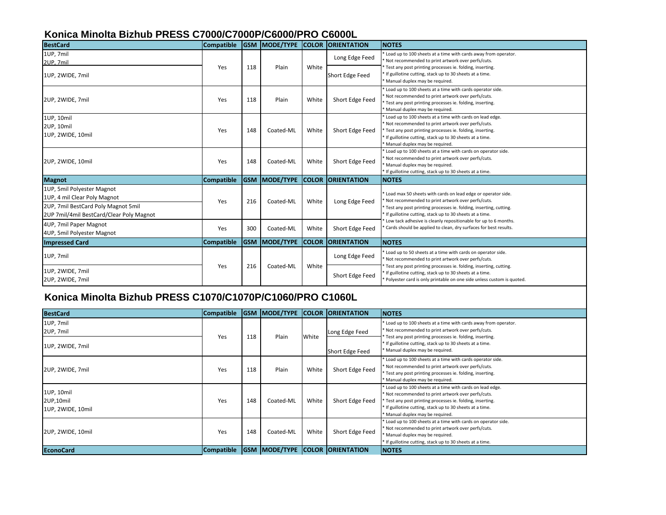## **Konica Minolta Bizhub PRESS C7000/C7000P/C6000/PRO C6000L**

| <b>BestCard</b>                                                                                                                               | <b>Compatible</b> |            | <b>GSM MODE/TYPE</b> | <b>COLOR</b> | <b>ORIENTATION</b> | <b>NOTES</b>                                                                                                                                                                                                                                                               |
|-----------------------------------------------------------------------------------------------------------------------------------------------|-------------------|------------|----------------------|--------------|--------------------|----------------------------------------------------------------------------------------------------------------------------------------------------------------------------------------------------------------------------------------------------------------------------|
| 1UP, 7mil<br>2UP, 7mil                                                                                                                        |                   |            |                      |              | Long Edge Feed     | Load up to 100 sheets at a time with cards away from operator.<br>Not recommended to print artwork over perfs/cuts.                                                                                                                                                        |
| 1UP, 2WIDE, 7mil                                                                                                                              | Yes               | 118        | Plain                | White        | Short Edge Feed    | Test any post printing processes ie. folding, inserting.<br>If guillotine cutting, stack up to 30 sheets at a time.<br>Manual duplex may be required.                                                                                                                      |
| 2UP, 2WIDE, 7mil                                                                                                                              | Yes               | 118        | Plain                | White        | Short Edge Feed    | Load up to 100 sheets at a time with cards operator side.<br>Not recommended to print artwork over perfs/cuts.<br>* Test any post printing processes ie. folding, inserting.<br>Manual duplex may be required.                                                             |
| 1UP, 10mil<br>2UP, 10mil<br>1UP, 2WIDE, 10mil                                                                                                 | Yes               | 148        | Coated-ML            | White        | Short Edge Feed    | Load up to 100 sheets at a time with cards on lead edge.<br>Not recommended to print artwork over perfs/cuts.<br>* Test any post printing processes ie. folding, inserting.<br>* If guillotine cutting, stack up to 30 sheets at a time.<br>Manual duplex may be required. |
| 2UP, 2WIDE, 10mil                                                                                                                             | Yes               | 148        | Coated-ML            | White        | Short Edge Feed    | Load up to 100 sheets at a time with cards on operator side.<br>Not recommended to print artwork over perfs/cuts.<br>Manual duplex may be required.<br>If guillotine cutting, stack up to 30 sheets at a time.                                                             |
| <b>Magnot</b>                                                                                                                                 | <b>Compatible</b> | <b>GSM</b> | <b>MODE/TYPE</b>     | <b>COLOR</b> | <b>ORIENTATION</b> | <b>NOTES</b>                                                                                                                                                                                                                                                               |
| 1UP, 5mil Polyester Magnot<br>1UP, 4 mil Clear Poly Magnot<br>2UP, 7mil BestCard Poly Magnot 5mil<br>2UP 7mil/4mil BestCard/Clear Poly Magnot | Yes               | 216        | Coated-ML            | White        | Long Edge Feed     | Load max 50 sheets with cards on lead edge or operator side.<br>Not recommended to print artwork over perfs/cuts.<br>* Test any post printing processes ie. folding, inserting, cutting.<br>If guillotine cutting, stack up to 30 sheets at a time.                        |
| 4UP, 7mil Paper Magnot<br>4UP, 5mil Polyester Magnot                                                                                          | Yes               | 300        | Coated-ML            | White        | Short Edge Feed    | Low tack adhesive is cleanly repositionable for up to 6 months.<br>'Cards should be applied to clean, dry surfaces for best results.                                                                                                                                       |
| <b>Impressed Card</b>                                                                                                                         | <b>Compatible</b> | <b>GSM</b> | MODE/TYPE            | <b>COLOR</b> | <b>ORIENTATION</b> | <b>NOTES</b>                                                                                                                                                                                                                                                               |
| 1UP, 7mil                                                                                                                                     |                   |            |                      |              | Long Edge Feed     | Load up to 50 sheets at a time with cards on operator side.<br>Not recommended to print artwork over perfs/cuts.                                                                                                                                                           |
| 1UP, 2WIDE, 7mil<br>2UP, 2WIDE, 7mil                                                                                                          | Yes               | 216        | Coated-ML            | White        | Short Edge Feed    | Test any post printing processes ie. folding, inserting, cutting.<br>If guillotine cutting, stack up to 30 sheets at a time.<br>* Polyester card is only printable on one side unless custom is quoted.                                                                    |

# **Konica Minolta Bizhub PRESS C1070/C1070P/C1060/PRO C1060L**

| <b>BestCard</b>                              | <b>Compatible</b> | <b>GSM</b> | MODE/TYPE |       | <b>COLOR ORIENTATION</b> | <b>INOTES</b>                                                                                                                                                                                                                                                                  |
|----------------------------------------------|-------------------|------------|-----------|-------|--------------------------|--------------------------------------------------------------------------------------------------------------------------------------------------------------------------------------------------------------------------------------------------------------------------------|
| 1UP, 7mil<br>2UP, 7mil<br>1UP, 2WIDE, 7mil   | Yes               | 118        | Plain     | White | Long Edge Feed           | * Load up to 100 sheets at a time with cards away from operator.<br>* Not recommended to print artwork over perfs/cuts.<br>Test any post printing processes ie. folding, inserting.<br>* If guillotine cutting, stack up to 30 sheets at a time.                               |
|                                              |                   |            |           |       | Short Edge Feed          | * Manual duplex may be required.                                                                                                                                                                                                                                               |
| 2UP, 2WIDE, 7mil                             | Yes               | 118        | Plain     | White | Short Edge Feed          | * Load up to 100 sheets at a time with cards operator side.<br>* Not recommended to print artwork over perfs/cuts.<br>* Test any post printing processes ie. folding, inserting.<br>* Manual duplex may be required.                                                           |
| 1UP, 10mil<br>2UP,10mil<br>1UP, 2WIDE, 10mil | Yes               | 148        | Coated-ML | White | Short Edge Feed          | Load up to 100 sheets at a time with cards on lead edge.<br>* Not recommended to print artwork over perfs/cuts.<br>* Test any post printing processes ie. folding, inserting.<br>* If guillotine cutting, stack up to 30 sheets at a time.<br>* Manual duplex may be required. |
| 2UP, 2WIDE, 10mil                            | Yes               | 148        | Coated-ML | White | Short Edge Feed          | * Load up to 100 sheets at a time with cards on operator side.<br>* Not recommended to print artwork over perfs/cuts.<br>* Manual duplex may be required.<br>* If guillotine cutting, stack up to 30 sheets at a time.                                                         |
| <b>EconoCard</b>                             | <b>Compatible</b> | <b>GSM</b> | MODE/TYPE |       | <b>COLOR ORIENTATION</b> | <b>INOTES</b>                                                                                                                                                                                                                                                                  |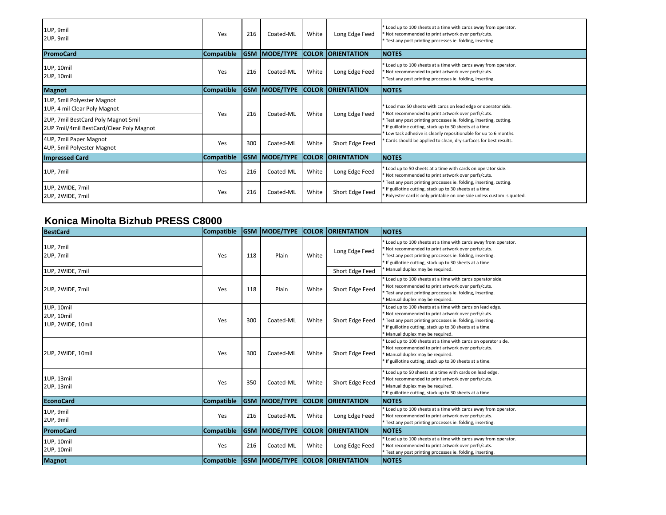| 1UP, 9mil<br>2UP, 9mil                                                          | Yes               | 216        | Coated-ML              | White        | Long Edge Feed           | Load up to 100 sheets at a time with cards away from operator.<br>Not recommended to print artwork over perfs/cuts.<br>* Test any post printing processes ie. folding, inserting.                       |
|---------------------------------------------------------------------------------|-------------------|------------|------------------------|--------------|--------------------------|---------------------------------------------------------------------------------------------------------------------------------------------------------------------------------------------------------|
| <b>PromoCard</b>                                                                | <b>Compatible</b> |            | <b>IGSM IMODE/TYPE</b> | <b>COLOR</b> | <b>ORIENTATION</b>       | <b>NOTES</b>                                                                                                                                                                                            |
| 1UP, 10mil<br>2UP, 10mil                                                        | Yes               | 216        | Coated-ML              | White        | Long Edge Feed           | Load up to 100 sheets at a time with cards away from operator.<br>Not recommended to print artwork over perfs/cuts.<br>Test any post printing processes ie. folding, inserting.                         |
| <b>Magnot</b>                                                                   | <b>Compatible</b> | <b>GSM</b> | MODE/TYPE              | <b>COLOR</b> | <b>ORIENTATION</b>       | <b>INOTES</b>                                                                                                                                                                                           |
| 1UP, 5mil Polyester Magnot<br>1UP, 4 mil Clear Poly Magnot                      | Yes               | 216        | Coated-ML              | White        | Long Edge Feed           | Load max 50 sheets with cards on lead edge or operator side.<br>Not recommended to print artwork over perfs/cuts.                                                                                       |
| 2UP, 7mil BestCard Poly Magnot 5mil<br>2UP 7mil/4mil BestCard/Clear Poly Magnot |                   |            |                        |              |                          | Test any post printing processes ie. folding, inserting, cutting.<br>If guillotine cutting, stack up to 30 sheets at a time.<br>Low tack adhesive is cleanly repositionable for up to 6 months.         |
| 4UP, 7mil Paper Magnot<br>4UP, 5mil Polyester Magnot                            | Yes               | 300        | Coated-ML              | White        | Short Edge Feed          | Cards should be applied to clean, dry surfaces for best results.                                                                                                                                        |
| <b>Impressed Card</b>                                                           | <b>Compatible</b> |            | <b>GSM MODE/TYPE</b>   |              | <b>COLOR ORIENTATION</b> | <b>NOTES</b>                                                                                                                                                                                            |
| 1UP, 7mil                                                                       | Yes               | 216        | Coated-ML              | White        | Long Edge Feed           | Load up to 50 sheets at a time with cards on operator side.<br>' Not recommended to print artwork over perfs/cuts.                                                                                      |
| 1UP, 2WIDE, 7mil<br>2UP, 2WIDE, 7mil                                            | Yes               | 216        | Coated-ML              | White        | Short Edge Feed          | Test any post printing processes ie. folding, inserting, cutting.<br>* If guillotine cutting, stack up to 30 sheets at a time.<br>Polyester card is only printable on one side unless custom is quoted. |

### **Konica Minolta Bizhub PRESS C8000**

| <b>BestCard</b>                               | <b>Compatible</b> |     | <b>GSM MODE/TYPE</b> |       | <b>COLOR ORIENTATION</b>                   | <b>NOTES</b>                                                                                                                                                                                                                                                             |
|-----------------------------------------------|-------------------|-----|----------------------|-------|--------------------------------------------|--------------------------------------------------------------------------------------------------------------------------------------------------------------------------------------------------------------------------------------------------------------------------|
| 1UP, 7mil<br>2UP, 7mil                        | Yes               | 118 | Plain                | White | Long Edge Feed                             | Load up to 100 sheets at a time with cards away from operator.<br>Not recommended to print artwork over perfs/cuts.<br>* Test any post printing processes ie. folding, inserting.<br>If guillotine cutting, stack up to 30 sheets at a time.                             |
| 1UP, 2WIDE, 7mil                              |                   |     |                      |       | Short Edge Feed                            | Manual duplex may be required.                                                                                                                                                                                                                                           |
| 2UP, 2WIDE, 7mil                              | Yes               | 118 | Plain                | White | Short Edge Feed                            | Load up to 100 sheets at a time with cards operator side.<br>Not recommended to print artwork over perfs/cuts.<br>Test any post printing processes ie. folding, inserting.<br>Manual duplex may be required.                                                             |
| 1UP, 10mil<br>2UP, 10mil<br>1UP, 2WIDE, 10mil | Yes               | 300 | Coated-ML            | White | Short Edge Feed                            | Load up to 100 sheets at a time with cards on lead edge.<br>Not recommended to print artwork over perfs/cuts.<br>Test any post printing processes ie. folding, inserting.<br>* If guillotine cutting, stack up to 30 sheets at a time.<br>Manual duplex may be required. |
| 2UP, 2WIDE, 10mil                             | Yes               | 300 | Coated-ML            | White | Short Edge Feed                            | Load up to 100 sheets at a time with cards on operator side.<br>Not recommended to print artwork over perfs/cuts.<br>Manual duplex may be required.<br>If guillotine cutting, stack up to 30 sheets at a time.                                                           |
| 1UP, 13mil<br>2UP, 13mil                      | Yes               | 350 | Coated-ML            | White | Short Edge Feed                            | Load up to 50 sheets at a time with cards on lead edge.<br>Not recommended to print artwork over perfs/cuts.<br>Manual duplex may be required.<br>If guillotine cutting, stack up to 30 sheets at a time.                                                                |
| <b>EconoCard</b>                              | <b>Compatible</b> |     | <b>GSM MODE/TYPE</b> |       | <b>COLOR ORIENTATION</b>                   | <b>NOTES</b>                                                                                                                                                                                                                                                             |
| 1UP, 9mil<br>2UP, 9mil                        | Yes               | 216 | Coated-ML            | White | Long Edge Feed                             | Load up to 100 sheets at a time with cards away from operator.<br>Not recommended to print artwork over perfs/cuts.<br>'Test any post printing processes ie. folding, inserting.                                                                                         |
| PromoCard                                     | <b>Compatible</b> |     | <b>GSM MODE/TYPE</b> |       | <b>COLOR ORIENTATION</b>                   | <b>INOTES</b>                                                                                                                                                                                                                                                            |
| 1UP, 10mil<br>2UP, 10mil                      | Yes               | 216 | Coated-ML            | White | Long Edge Feed                             | Load up to 100 sheets at a time with cards away from operator.<br>Not recommended to print artwork over perfs/cuts.<br>'Test any post printing processes ie. folding, inserting.                                                                                         |
| <b>Magnot</b>                                 |                   |     |                      |       | Compatible GSM MODE/TYPE COLOR ORIENTATION | <b>NOTES</b>                                                                                                                                                                                                                                                             |